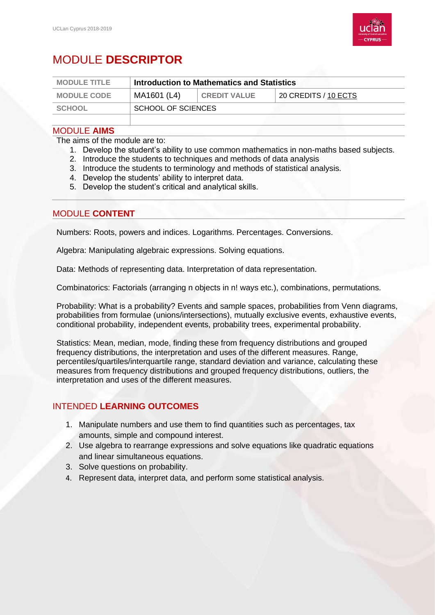

# MODULE **DESCRIPTOR**

| <b>MODULE TITLE</b> | Introduction to Mathematics and Statistics |                     |                      |
|---------------------|--------------------------------------------|---------------------|----------------------|
| <b>MODULE CODE</b>  | MA1601 (L4)                                | <b>CREDIT VALUE</b> | 20 CREDITS / 10 ECTS |
| <b>SCHOOL</b>       | SCHOOL OF SCIENCES                         |                     |                      |

#### MODULE **AIMS**

The aims of the module are to:

- 1. Develop the student's ability to use common mathematics in non-maths based subjects.
- 2. Introduce the students to techniques and methods of data analysis
- 3. Introduce the students to terminology and methods of statistical analysis.
- 4. Develop the students' ability to interpret data.
- 5. Develop the student's critical and analytical skills.

### MODULE **CONTENT**

Numbers: Roots, powers and indices. Logarithms. Percentages. Conversions.

Algebra: Manipulating algebraic expressions. Solving equations.

Data: Methods of representing data. Interpretation of data representation.

Combinatorics: Factorials (arranging n objects in n! ways etc.), combinations, permutations.

Probability: What is a probability? Events and sample spaces, probabilities from Venn diagrams, probabilities from formulae (unions/intersections), mutually exclusive events, exhaustive events, conditional probability, independent events, probability trees, experimental probability.

Statistics: Mean, median, mode, finding these from frequency distributions and grouped frequency distributions, the interpretation and uses of the different measures. Range, percentiles/quartiles/interquartile range, standard deviation and variance, calculating these measures from frequency distributions and grouped frequency distributions, outliers, the interpretation and uses of the different measures.

## INTENDED **LEARNING OUTCOMES**

- 1. Manipulate numbers and use them to find quantities such as percentages, tax amounts, simple and compound interest.
- 2. Use algebra to rearrange expressions and solve equations like quadratic equations and linear simultaneous equations.
- 3. Solve questions on probability.
- 4. Represent data, interpret data, and perform some statistical analysis.